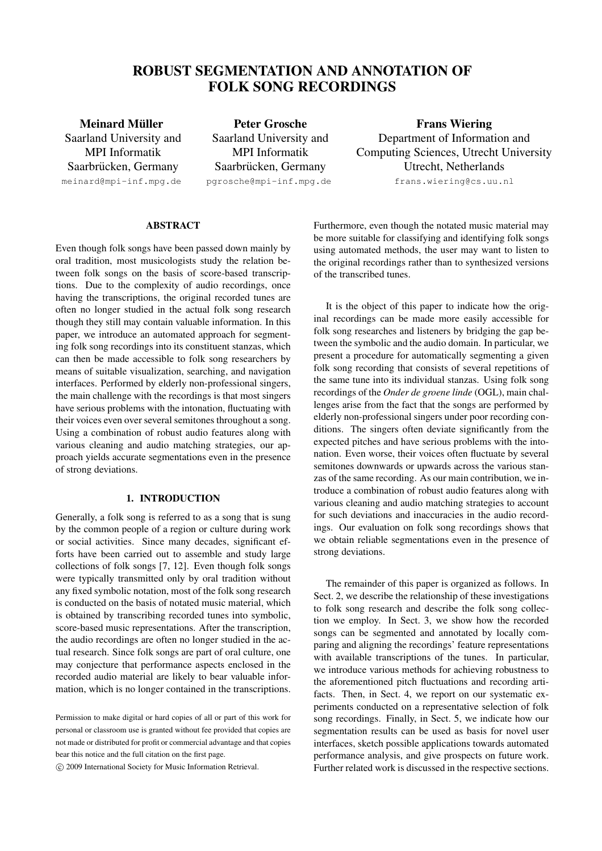# **ROBUST SEGMENTATION AND ANNOTATION OF FOLK SONG RECORDINGS**

**Meinard Muller ¨** Saarland University and MPI Informatik Saarbrücken, Germany meinard@mpi-inf.mpg.de

**Peter Grosche** Saarland University and MPI Informatik Saarbrücken, Germany pgrosche@mpi-inf.mpg.de

**Frans Wiering** Department of Information and Computing Sciences, Utrecht University Utrecht, Netherlands frans.wiering@cs.uu.nl

# **ABSTRACT**

Even though folk songs have been passed down mainly by oral tradition, most musicologists study the relation between folk songs on the basis of score-based transcriptions. Due to the complexity of audio recordings, once having the transcriptions, the original recorded tunes are often no longer studied in the actual folk song research though they still may contain valuable information. In this paper, we introduce an automated approach for segmenting folk song recordings into its constituent stanzas, which can then be made accessible to folk song researchers by means of suitable visualization, searching, and navigation interfaces. Performed by elderly non-professional singers, the main challenge with the recordings is that most singers have serious problems with the intonation, fluctuating with their voices even over several semitones throughout a song. Using a combination of robust audio features along with various cleaning and audio matching strategies, our approach yields accurate segmentations even in the presence of strong deviations.

# **1. INTRODUCTION**

Generally, a folk song is referred to as a song that is sung by the common people of a region or culture during work or social activities. Since many decades, significant efforts have been carried out to assemble and study large collections of folk songs [7, 12]. Even though folk songs were typically transmitted only by oral tradition without any fixed symbolic notation, most of the folk song research is conducted on the basis of notated music material, which is obtained by transcribing recorded tunes into symbolic, score-based music representations. After the transcription, the audio recordings are often no longer studied in the actual research. Since folk songs are part of oral culture, one may conjecture that performance aspects enclosed in the recorded audio material are likely to bear valuable information, which is no longer contained in the transcriptions.

°c 2009 International Society for Music Information Retrieval.

Furthermore, even though the notated music material may be more suitable for classifying and identifying folk songs using automated methods, the user may want to listen to the original recordings rather than to synthesized versions of the transcribed tunes.

It is the object of this paper to indicate how the original recordings can be made more easily accessible for folk song researches and listeners by bridging the gap between the symbolic and the audio domain. In particular, we present a procedure for automatically segmenting a given folk song recording that consists of several repetitions of the same tune into its individual stanzas. Using folk song recordings of the *Onder de groene linde* (OGL), main challenges arise from the fact that the songs are performed by elderly non-professional singers under poor recording conditions. The singers often deviate significantly from the expected pitches and have serious problems with the intonation. Even worse, their voices often fluctuate by several semitones downwards or upwards across the various stanzas of the same recording. As our main contribution, we introduce a combination of robust audio features along with various cleaning and audio matching strategies to account for such deviations and inaccuracies in the audio recordings. Our evaluation on folk song recordings shows that we obtain reliable segmentations even in the presence of strong deviations.

The remainder of this paper is organized as follows. In Sect. 2, we describe the relationship of these investigations to folk song research and describe the folk song collection we employ. In Sect. 3, we show how the recorded songs can be segmented and annotated by locally comparing and aligning the recordings' feature representations with available transcriptions of the tunes. In particular, we introduce various methods for achieving robustness to the aforementioned pitch fluctuations and recording artifacts. Then, in Sect. 4, we report on our systematic experiments conducted on a representative selection of folk song recordings. Finally, in Sect. 5, we indicate how our segmentation results can be used as basis for novel user interfaces, sketch possible applications towards automated performance analysis, and give prospects on future work. Further related work is discussed in the respective sections.

Permission to make digital or hard copies of all or part of this work for personal or classroom use is granted without fee provided that copies are not made or distributed for profit or commercial advantage and that copies bear this notice and the full citation on the first page.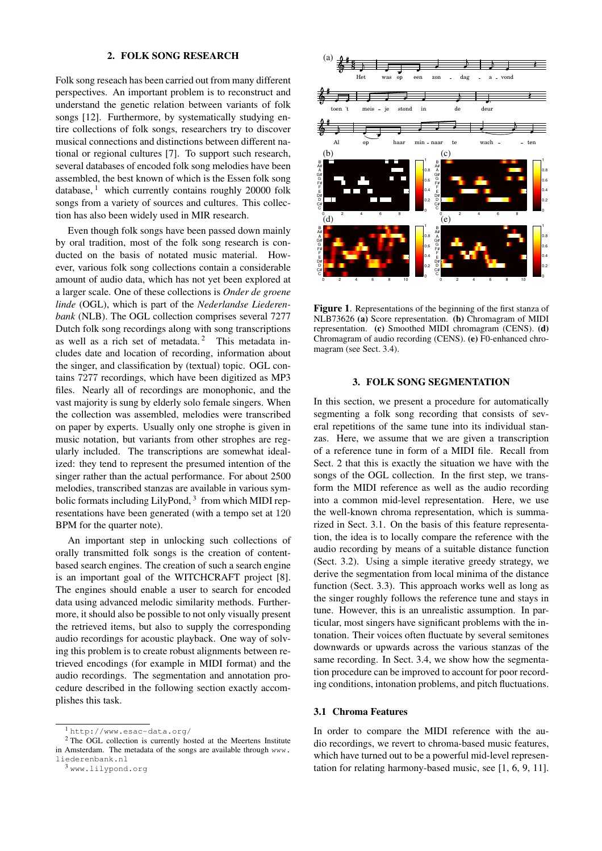#### **2. FOLK SONG RESEARCH**

Folk song reseach has been carried out from many different perspectives. An important problem is to reconstruct and understand the genetic relation between variants of folk songs [12]. Furthermore, by systematically studying entire collections of folk songs, researchers try to discover musical connections and distinctions between different national or regional cultures [7]. To support such research, several databases of encoded folk song melodies have been assembled, the best known of which is the Essen folk song database,  $\frac{1}{1}$  which currently contains roughly 20000 folk songs from a variety of sources and cultures. This collection has also been widely used in MIR research.

Even though folk songs have been passed down mainly by oral tradition, most of the folk song research is conducted on the basis of notated music material. However, various folk song collections contain a considerable amount of audio data, which has not yet been explored at a larger scale. One of these collections is *Onder de groene linde* (OGL), which is part of the *Nederlandse Liederenbank* (NLB). The OGL collection comprises several 7277 Dutch folk song recordings along with song transcriptions as well as a rich set of metadata.<sup>2</sup> This metadata includes date and location of recording, information about the singer, and classification by (textual) topic. OGL contains 7277 recordings, which have been digitized as MP3 files. Nearly all of recordings are monophonic, and the vast majority is sung by elderly solo female singers. When the collection was assembled, melodies were transcribed on paper by experts. Usually only one strophe is given in music notation, but variants from other strophes are regularly included. The transcriptions are somewhat idealized: they tend to represent the presumed intention of the singer rather than the actual performance. For about 2500 melodies, transcribed stanzas are available in various symbolic formats including LilyPond, <sup>3</sup> from which MIDI representations have been generated (with a tempo set at 120 BPM for the quarter note).

An important step in unlocking such collections of orally transmitted folk songs is the creation of contentbased search engines. The creation of such a search engine is an important goal of the WITCHCRAFT project [8]. The engines should enable a user to search for encoded data using advanced melodic similarity methods. Furthermore, it should also be possible to not only visually present the retrieved items, but also to supply the corresponding audio recordings for acoustic playback. One way of solving this problem is to create robust alignments between retrieved encodings (for example in MIDI format) and the audio recordings. The segmentation and annotation procedure described in the following section exactly accomplishes this task.



**Figure 1**. Representations of the beginning of the first stanza of NLB73626 **(a)** Score representation. **(b)** Chromagram of MIDI representation. **(c)** Smoothed MIDI chromagram (CENS). **(d)** Chromagram of audio recording (CENS). **(e)** F0-enhanced chromagram (see Sect. 3.4).

#### **3. FOLK SONG SEGMENTATION**

In this section, we present a procedure for automatically segmenting a folk song recording that consists of several repetitions of the same tune into its individual stanzas. Here, we assume that we are given a transcription of a reference tune in form of a MIDI file. Recall from Sect. 2 that this is exactly the situation we have with the songs of the OGL collection. In the first step, we transform the MIDI reference as well as the audio recording into a common mid-level representation. Here, we use the well-known chroma representation, which is summarized in Sect. 3.1. On the basis of this feature representation, the idea is to locally compare the reference with the audio recording by means of a suitable distance function (Sect. 3.2). Using a simple iterative greedy strategy, we derive the segmentation from local minima of the distance function (Sect. 3.3). This approach works well as long as the singer roughly follows the reference tune and stays in tune. However, this is an unrealistic assumption. In particular, most singers have significant problems with the intonation. Their voices often fluctuate by several semitones downwards or upwards across the various stanzas of the same recording. In Sect. 3.4, we show how the segmentation procedure can be improved to account for poor recording conditions, intonation problems, and pitch fluctuations.

## **3.1 Chroma Features**

In order to compare the MIDI reference with the audio recordings, we revert to chroma-based music features, which have turned out to be a powerful mid-level representation for relating harmony-based music, see [1, 6, 9, 11].

<sup>1</sup> http://www.esac-data.org/

<sup>&</sup>lt;sup>2</sup> The OGL collection is currently hosted at the Meertens Institute in Amsterdam. The metadata of the songs are available through www. liederenbank.nl

<sup>3</sup> www.lilypond.org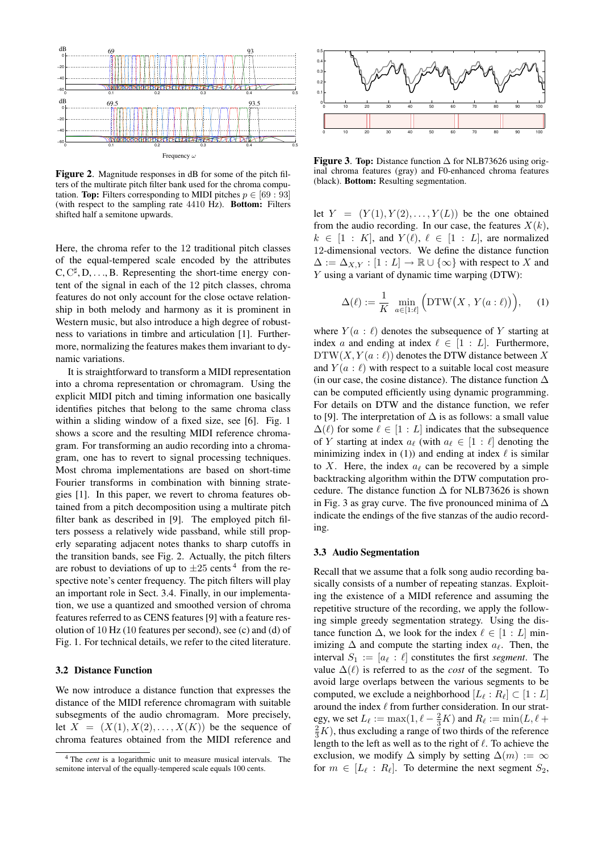

**Figure 2**. Magnitude responses in dB for some of the pitch filters of the multirate pitch filter bank used for the chroma computation. **Top:** Filters corresponding to MIDI pitches  $p \in [69 : 93]$ (with respect to the sampling rate 4410 Hz). **Bottom:** Filters shifted half a semitone upwards.

Here, the chroma refer to the 12 traditional pitch classes of the equal-tempered scale encoded by the attributes  $C, C^{\sharp}, D, \ldots, B$ . Representing the short-time energy content of the signal in each of the 12 pitch classes, chroma features do not only account for the close octave relationship in both melody and harmony as it is prominent in Western music, but also introduce a high degree of robustness to variations in timbre and articulation [1]. Furthermore, normalizing the features makes them invariant to dynamic variations.

It is straightforward to transform a MIDI representation into a chroma representation or chromagram. Using the explicit MIDI pitch and timing information one basically identifies pitches that belong to the same chroma class within a sliding window of a fixed size, see [6]. Fig. 1 shows a score and the resulting MIDI reference chromagram. For transforming an audio recording into a chromagram, one has to revert to signal processing techniques. Most chroma implementations are based on short-time Fourier transforms in combination with binning strategies [1]. In this paper, we revert to chroma features obtained from a pitch decomposition using a multirate pitch filter bank as described in [9]. The employed pitch filters possess a relatively wide passband, while still properly separating adjacent notes thanks to sharp cutoffs in the transition bands, see Fig. 2. Actually, the pitch filters are robust to deviations of up to  $\pm 25$  cents<sup>4</sup> from the respective note's center frequency. The pitch filters will play an important role in Sect. 3.4. Finally, in our implementation, we use a quantized and smoothed version of chroma features referred to as CENS features [9] with a feature resolution of 10 Hz (10 features per second), see (c) and (d) of Fig. 1. For technical details, we refer to the cited literature.

## **3.2 Distance Function**

We now introduce a distance function that expresses the distance of the MIDI reference chromagram with suitable subsegments of the audio chromagram. More precisely, let  $X = (X(1), X(2), \ldots, X(K))$  be the sequence of chroma features obtained from the MIDI reference and



**Figure 3**. **Top:** Distance function ∆ for NLB73626 using original chroma features (gray) and F0-enhanced chroma features (black). **Bottom:** Resulting segmentation.

let  $Y = (Y(1), Y(2), \ldots, Y(L))$  be the one obtained from the audio recording. In our case, the features  $X(k)$ ,  $k \in [1 : K]$ , and  $Y(\ell)$ ,  $\ell \in [1 : L]$ , are normalized 12-dimensional vectors. We define the distance function  $\Delta := \Delta_{X,Y} : [1 : L] \to \mathbb{R} \cup {\infty}$  with respect to X and Y using a variant of dynamic time warping (DTW):

$$
\Delta(\ell) := \frac{1}{K} \min_{a \in [1:\ell]} \Big( \text{DTW}\big(X, Y(a:\ell)\big) \Big), \quad (1)
$$

where  $Y(a : \ell)$  denotes the subsequence of Y starting at index a and ending at index  $\ell \in [1 : L]$ . Furthermore,  $DTW(X, Y(a : \ell))$  denotes the DTW distance between X and  $Y(a : \ell)$  with respect to a suitable local cost measure (in our case, the cosine distance). The distance function  $\Delta$ can be computed efficiently using dynamic programming. For details on DTW and the distance function, we refer to [9]. The interpretation of  $\Delta$  is as follows: a small value  $\Delta(\ell)$  for some  $\ell \in [1 : L]$  indicates that the subsequence of Y starting at index  $a_\ell$  (with  $a_\ell \in [1:\ell]$  denoting the minimizing index in (1)) and ending at index  $\ell$  is similar to X. Here, the index  $a_{\ell}$  can be recovered by a simple backtracking algorithm within the DTW computation procedure. The distance function  $\Delta$  for NLB73626 is shown in Fig. 3 as gray curve. The five pronounced minima of ∆ indicate the endings of the five stanzas of the audio recording.

#### **3.3 Audio Segmentation**

Recall that we assume that a folk song audio recording basically consists of a number of repeating stanzas. Exploiting the existence of a MIDI reference and assuming the repetitive structure of the recording, we apply the following simple greedy segmentation strategy. Using the distance function  $\Delta$ , we look for the index  $\ell \in [1 : L]$  minimizing  $\Delta$  and compute the starting index  $a_{\ell}$ . Then, the interval  $S_1 := [a_\ell : \ell]$  constitutes the first *segment*. The value  $\Delta(\ell)$  is referred to as the *cost* of the segment. To avoid large overlaps between the various segments to be computed, we exclude a neighborhood  $[L_{\ell}: R_{\ell}] \subset [1:L]$ around the index  $\ell$  from further consideration. In our strategy, we set  $L_{\ell} := \max(1, \ell - \frac{2}{3}K)$  and  $R_{\ell} := \min(L, \ell +$  $\frac{2}{3}K$ ), thus excluding a range of two thirds of the reference length to the left as well as to the right of  $\ell$ . To achieve the exclusion, we modify  $\Delta$  simply by setting  $\Delta(m) := \infty$ for  $m \in [L_{\ell}: R_{\ell}]$ . To determine the next segment  $S_2$ ,

<sup>4</sup> The *cent* is a logarithmic unit to measure musical intervals. The semitone interval of the equally-tempered scale equals 100 cents.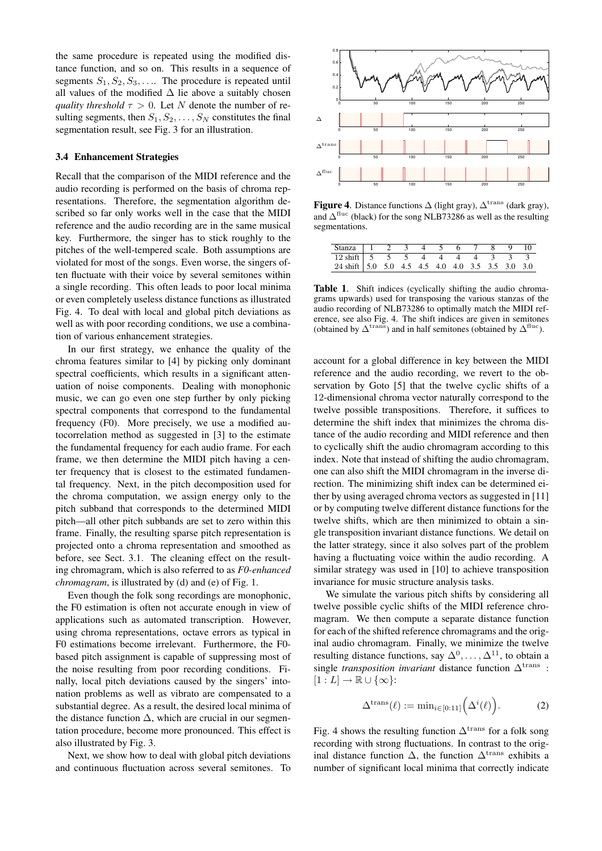the same procedure is repeated using the modified distance function, and so on. This results in a sequence of segments  $S_1, S_2, S_3, \ldots$  The procedure is repeated until all values of the modified  $\Delta$  lie above a suitably chosen *quality threshold*  $\tau > 0$ . Let N denote the number of resulting segments, then  $S_1, S_2, \ldots, S_N$  constitutes the final segmentation result, see Fig. 3 for an illustration.

#### **3.4 Enhancement Strategies**

Recall that the comparison of the MIDI reference and the audio recording is performed on the basis of chroma representations. Therefore, the segmentation algorithm described so far only works well in the case that the MIDI reference and the audio recording are in the same musical key. Furthermore, the singer has to stick roughly to the pitches of the well-tempered scale. Both assumptions are violated for most of the songs. Even worse, the singers often fluctuate with their voice by several semitones within a single recording. This often leads to poor local minima or even completely useless distance functions as illustrated Fig. 4. To deal with local and global pitch deviations as well as with poor recording conditions, we use a combination of various enhancement strategies.

In our first strategy, we enhance the quality of the chroma features similar to [4] by picking only dominant spectral coefficients, which results in a significant attenuation of noise components. Dealing with monophonic music, we can go even one step further by only picking spectral components that correspond to the fundamental frequency (F0). More precisely, we use a modified autocorrelation method as suggested in [3] to the estimate the fundamental frequency for each audio frame. For each frame, we then determine the MIDI pitch having a center frequency that is closest to the estimated fundamental frequency. Next, in the pitch decomposition used for the chroma computation, we assign energy only to the pitch subband that corresponds to the determined MIDI pitch—all other pitch subbands are set to zero within this frame. Finally, the resulting sparse pitch representation is projected onto a chroma representation and smoothed as before, see Sect. 3.1. The cleaning effect on the resulting chromagram, which is also referred to as *F0-enhanced chromagram*, is illustrated by (d) and (e) of Fig. 1.

Even though the folk song recordings are monophonic, the F0 estimation is often not accurate enough in view of applications such as automated transcription. However, using chroma representations, octave errors as typical in F0 estimations become irrelevant. Furthermore, the F0 based pitch assignment is capable of suppressing most of the noise resulting from poor recording conditions. Finally, local pitch deviations caused by the singers' intonation problems as well as vibrato are compensated to a substantial degree. As a result, the desired local minima of the distance function  $\Delta$ , which are crucial in our segmentation procedure, become more pronounced. This effect is also illustrated by Fig. 3.

Next, we show how to deal with global pitch deviations and continuous fluctuation across several semitones. To



**Figure 4.** Distance functions  $\Delta$  (light gray),  $\Delta^{\text{trans}}$  (dark gray), and  $\Delta^{\text{fluc}}$  (black) for the song NLB73286 as well as the resulting segmentations.

| Stanza   1 2 3 4 5 6 7 8 9 10                                                      |  |  |  |  |  |
|------------------------------------------------------------------------------------|--|--|--|--|--|
|                                                                                    |  |  |  |  |  |
| 12 shift 5 5 5 5 4 4 4 4 3 3 3<br>24 shift 5.0 5.0 4.5 4.5 4.0 4.0 3.5 3.5 3.0 3.0 |  |  |  |  |  |

**Table 1**. Shift indices (cyclically shifting the audio chromagrams upwards) used for transposing the various stanzas of the audio recording of NLB73286 to optimally match the MIDI reference, see also Fig. 4. The shift indices are given in semitones (obtained by  $\Delta^{\text{trans}}$ ) and in half semitones (obtained by  $\Delta^{\text{fluc}}$ ).

account for a global difference in key between the MIDI reference and the audio recording, we revert to the observation by Goto [5] that the twelve cyclic shifts of a 12-dimensional chroma vector naturally correspond to the twelve possible transpositions. Therefore, it suffices to determine the shift index that minimizes the chroma distance of the audio recording and MIDI reference and then to cyclically shift the audio chromagram according to this index. Note that instead of shifting the audio chromagram, one can also shift the MIDI chromagram in the inverse direction. The minimizing shift index can be determined either by using averaged chroma vectors as suggested in [11] or by computing twelve different distance functions for the twelve shifts, which are then minimized to obtain a single transposition invariant distance functions. We detail on the latter strategy, since it also solves part of the problem having a fluctuating voice within the audio recording. A similar strategy was used in [10] to achieve transposition invariance for music structure analysis tasks.

We simulate the various pitch shifts by considering all twelve possible cyclic shifts of the MIDI reference chromagram. We then compute a separate distance function for each of the shifted reference chromagrams and the original audio chromagram. Finally, we minimize the twelve resulting distance functions, say  $\Delta^0, \ldots, \Delta^{11}$ , to obtain a single *transposition invariant* distance function ∆<sup>trans</sup> :  $[1 : L] \rightarrow \mathbb{R} \cup {\infty}$ :

$$
\Delta^{\mathrm{trans}}(\ell) := \min_{i \in [0:11]} \left( \Delta^i(\ell) \right). \tag{2}
$$

Fig. 4 shows the resulting function  $\Delta^{\text{trans}}$  for a folk song recording with strong fluctuations. In contrast to the original distance function  $\Delta$ , the function  $\Delta^{\text{trans}}$  exhibits a number of significant local minima that correctly indicate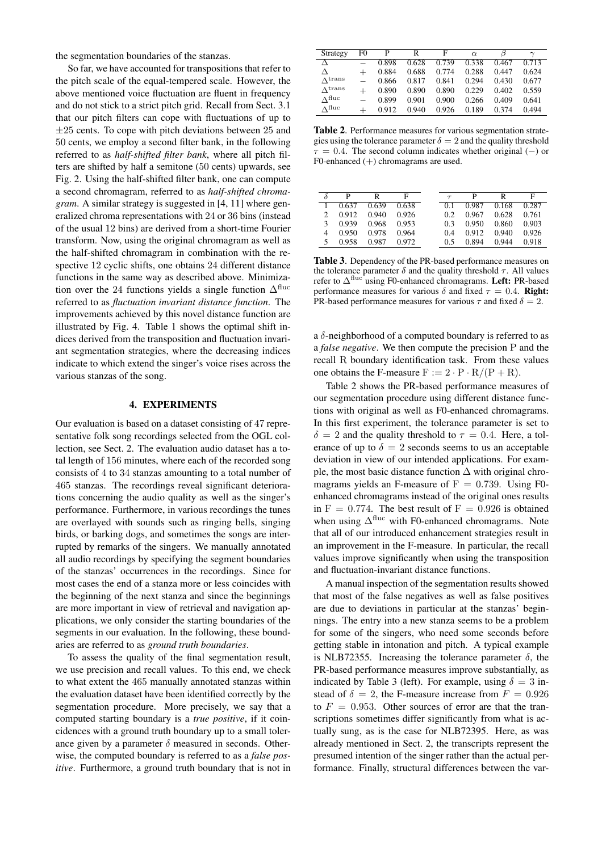the segmentation boundaries of the stanzas.

So far, we have accounted for transpositions that refer to the pitch scale of the equal-tempered scale. However, the above mentioned voice fluctuation are fluent in frequency and do not stick to a strict pitch grid. Recall from Sect. 3.1 that our pitch filters can cope with fluctuations of up to  $\pm 25$  cents. To cope with pitch deviations between 25 and 50 cents, we employ a second filter bank, in the following referred to as *half-shifted filter bank*, where all pitch filters are shifted by half a semitone (50 cents) upwards, see Fig. 2. Using the half-shifted filter bank, one can compute a second chromagram, referred to as *half-shifted chromagram*. A similar strategy is suggested in [4, 11] where generalized chroma representations with 24 or 36 bins (instead of the usual 12 bins) are derived from a short-time Fourier transform. Now, using the original chromagram as well as the half-shifted chromagram in combination with the respective 12 cyclic shifts, one obtains 24 different distance functions in the same way as described above. Minimization over the 24 functions yields a single function  $\Delta^{\text{fluc}}$ referred to as *fluctuation invariant distance function*. The improvements achieved by this novel distance function are illustrated by Fig. 4. Table 1 shows the optimal shift indices derived from the transposition and fluctuation invariant segmentation strategies, where the decreasing indices indicate to which extend the singer's voice rises across the various stanzas of the song.

### **4. EXPERIMENTS**

Our evaluation is based on a dataset consisting of 47 representative folk song recordings selected from the OGL collection, see Sect. 2. The evaluation audio dataset has a total length of 156 minutes, where each of the recorded song consists of 4 to 34 stanzas amounting to a total number of 465 stanzas. The recordings reveal significant deteriorations concerning the audio quality as well as the singer's performance. Furthermore, in various recordings the tunes are overlayed with sounds such as ringing bells, singing birds, or barking dogs, and sometimes the songs are interrupted by remarks of the singers. We manually annotated all audio recordings by specifying the segment boundaries of the stanzas' occurrences in the recordings. Since for most cases the end of a stanza more or less coincides with the beginning of the next stanza and since the beginnings are more important in view of retrieval and navigation applications, we only consider the starting boundaries of the segments in our evaluation. In the following, these boundaries are referred to as *ground truth boundaries*.

To assess the quality of the final segmentation result, we use precision and recall values. To this end, we check to what extent the 465 manually annotated stanzas within the evaluation dataset have been identified correctly by the segmentation procedure. More precisely, we say that a computed starting boundary is a *true positive*, if it coincidences with a ground truth boundary up to a small tolerance given by a parameter  $\delta$  measured in seconds. Otherwise, the computed boundary is referred to as a *false positive*. Furthermore, a ground truth boundary that is not in

| Strategy        | F0   | р     | R     | F     | $\alpha$ |       | $\sim$ |
|-----------------|------|-------|-------|-------|----------|-------|--------|
| Δ               |      | 0.898 | 0.628 | 0.739 | 0.338    | 0.467 | 0.713  |
| Δ               | $^+$ | 0.884 | 0.688 | 0.774 | 0.288    | 0.447 | 0.624  |
| $\Lambda$ trans |      | 0.866 | 0.817 | 0.841 | 0.294    | 0.430 | 0.677  |
| $\Lambda$ trans |      | 0.890 | 0.890 | 0.890 | 0.229    | 0.402 | 0.559  |
| $\Lambda$ fluc  |      | 0.899 | 0.901 | 0.900 | 0.266    | 0.409 | 0.641  |
| $\Lambda$ fluc  |      | 0.912 | 0.940 | 0.926 | 0.189    | 0.374 | 0.494  |
|                 |      |       |       |       |          |       |        |

**Table 2**. Performance measures for various segmentation strategies using the tolerance parameter  $\delta = 2$  and the quality threshold  $\tau = 0.4$ . The second column indicates whether original (−) or F0-enhanced (+) chromagrams are used.

|   | D     | R     | F     | $\tau$ | D     | R     | F     |
|---|-------|-------|-------|--------|-------|-------|-------|
|   | 0.637 | 0.639 | 0.638 | 0.1    | 0.987 | 0.168 | 0.287 |
| 2 | 0.912 | 0.940 | 0.926 | 0.2    | 0.967 | 0.628 | 0.761 |
| 3 | 0.939 | 0.968 | 0.953 | 0.3    | 0.950 | 0.860 | 0.903 |
| 4 | 0.950 | 0.978 | 0.964 | 0.4    | 0.912 | 0.940 | 0.926 |
|   | 0.958 | 0.987 | 0.972 | 0.5    | 0.894 | 0.944 | 0.918 |

**Table 3**. Dependency of the PR-based performance measures on the tolerance parameter  $\delta$  and the quality threshold  $\tau$ . All values refer to  $\Delta$ <sup>fluc</sup> using F0-enhanced chromagrams. Left: PR-based performance measures for various  $\delta$  and fixed  $\tau = 0.4$ . **Right:** PR-based performance measures for various  $\tau$  and fixed  $\delta = 2$ .

a  $\delta$ -neighborhood of a computed boundary is referred to as a *false negative*. We then compute the precision P and the recall R boundary identification task. From these values one obtains the F-measure  $F := 2 \cdot P \cdot R/(P + R)$ .

Table 2 shows the PR-based performance measures of our segmentation procedure using different distance functions with original as well as F0-enhanced chromagrams. In this first experiment, the tolerance parameter is set to  $\delta = 2$  and the quality threshold to  $\tau = 0.4$ . Here, a tolerance of up to  $\delta = 2$  seconds seems to us an acceptable deviation in view of our intended applications. For example, the most basic distance function  $\Delta$  with original chromagrams yields an F-measure of  $F = 0.739$ . Using F0enhanced chromagrams instead of the original ones results in F = 0.774. The best result of F = 0.926 is obtained when using  $\Delta^{\text{fluc}}$  with F0-enhanced chromagrams. Note that all of our introduced enhancement strategies result in an improvement in the F-measure. In particular, the recall values improve significantly when using the transposition and fluctuation-invariant distance functions.

A manual inspection of the segmentation results showed that most of the false negatives as well as false positives are due to deviations in particular at the stanzas' beginnings. The entry into a new stanza seems to be a problem for some of the singers, who need some seconds before getting stable in intonation and pitch. A typical example is NLB72355. Increasing the tolerance parameter  $\delta$ , the PR-based performance measures improve substantially, as indicated by Table 3 (left). For example, using  $\delta = 3$  instead of  $\delta = 2$ , the F-measure increase from  $F = 0.926$ to  $F = 0.953$ . Other sources of error are that the transcriptions sometimes differ significantly from what is actually sung, as is the case for NLB72395. Here, as was already mentioned in Sect. 2, the transcripts represent the presumed intention of the singer rather than the actual performance. Finally, structural differences between the var